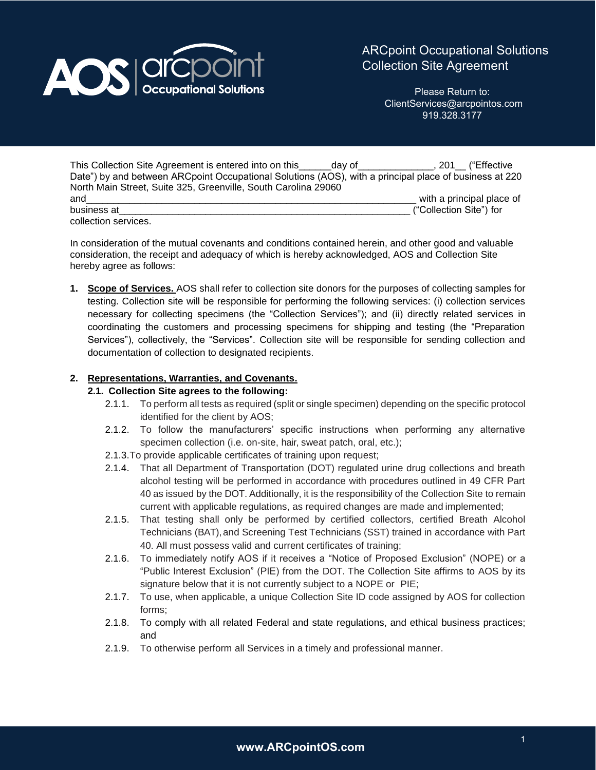

Please Return to: ClientServices@arcpointos.com 919.328.3177

| This Collection Site Agreement is entered into on this<br>dav of                                       |                         | 201 ("Effective",         |
|--------------------------------------------------------------------------------------------------------|-------------------------|---------------------------|
| Date") by and between ARCpoint Occupational Solutions (AOS), with a principal place of business at 220 |                         |                           |
| North Main Street, Suite 325, Greenville, South Carolina 29060                                         |                         |                           |
| and                                                                                                    |                         | with a principal place of |
| business at                                                                                            | ("Collection Site") for |                           |
| collection services.                                                                                   |                         |                           |

In consideration of the mutual covenants and conditions contained herein, and other good and valuable consideration, the receipt and adequacy of which is hereby acknowledged, AOS and Collection Site hereby agree as follows:

**1. Scope of Services.** AOS shall refer to collection site donors for the purposes of collecting samples for testing. Collection site will be responsible for performing the following services: (i) collection services necessary for collecting specimens (the "Collection Services"); and (ii) directly related services in coordinating the customers and processing specimens for shipping and testing (the "Preparation Services"), collectively, the "Services". Collection site will be responsible for sending collection and documentation of collection to designated recipients.

## **2. Representations, Warranties, and Covenants.**

## **2.1. Collection Site agrees to the following:**

- 2.1.1. To perform all tests as required (split or single specimen) depending on the specific protocol identified for the client by AOS;
- 2.1.2. To follow the manufacturers' specific instructions when performing any alternative specimen collection (i.e. on-site, hair, sweat patch, oral, etc.);
- 2.1.3.To provide applicable certificates of training upon request;
- 2.1.4. That all Department of Transportation (DOT) regulated urine drug collections and breath alcohol testing will be performed in accordance with procedures outlined in 49 CFR Part 40 as issued by the DOT. Additionally, it is the responsibility of the Collection Site to remain current with applicable regulations, as required changes are made and implemented;
- 2.1.5. That testing shall only be performed by certified collectors, certified Breath Alcohol Technicians (BAT), and Screening Test Technicians (SST) trained in accordance with Part 40. All must possess valid and current certificates of training;
- 2.1.6. To immediately notify AOS if it receives a "Notice of Proposed Exclusion" (NOPE) or a "Public Interest Exclusion" (PIE) from the DOT. The Collection Site affirms to AOS by its signature below that it is not currently subject to a NOPE or PIE;
- 2.1.7. To use, when applicable, a unique Collection Site ID code assigned by AOS for collection forms;
- 2.1.8. To comply with all related Federal and state regulations, and ethical business practices; and
- 2.1.9. To otherwise perform all Services in a timely and professional manner.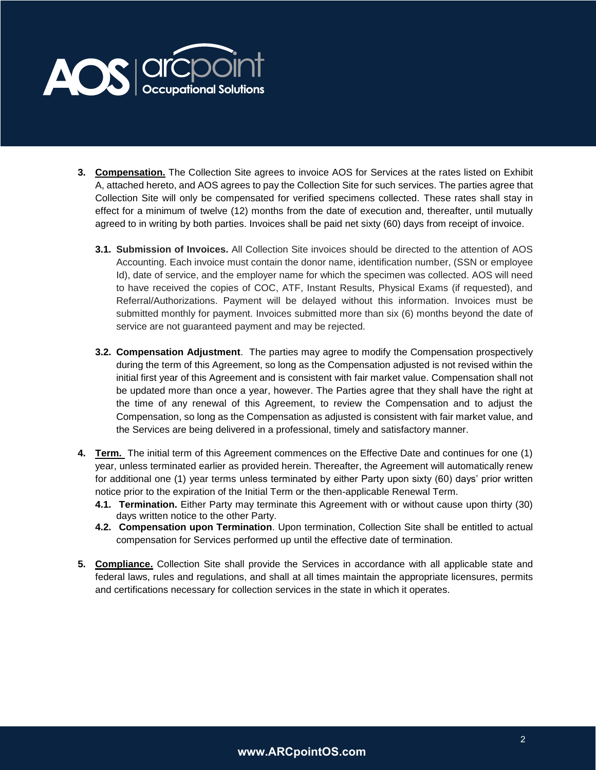

- **3. Compensation.** The Collection Site agrees to invoice AOS for Services at the rates listed on Exhibit A, attached hereto, and AOS agrees to pay the Collection Site for such services. The parties agree that Collection Site will only be compensated for verified specimens collected. These rates shall stay in effect for a minimum of twelve (12) months from the date of execution and, thereafter, until mutually agreed to in writing by both parties. Invoices shall be paid net sixty (60) days from receipt of invoice.
	- **3.1. Submission of Invoices.** All Collection Site invoices should be directed to the attention of AOS Accounting. Each invoice must contain the donor name, identification number, (SSN or employee Id), date of service, and the employer name for which the specimen was collected. AOS will need to have received the copies of COC, ATF, Instant Results, Physical Exams (if requested), and Referral/Authorizations. Payment will be delayed without this information. Invoices must be submitted monthly for payment. Invoices submitted more than six (6) months beyond the date of service are not guaranteed payment and may be rejected.
	- **3.2. Compensation Adjustment**. The parties may agree to modify the Compensation prospectively during the term of this Agreement, so long as the Compensation adjusted is not revised within the initial first year of this Agreement and is consistent with fair market value. Compensation shall not be updated more than once a year, however. The Parties agree that they shall have the right at the time of any renewal of this Agreement, to review the Compensation and to adjust the Compensation, so long as the Compensation as adjusted is consistent with fair market value, and the Services are being delivered in a professional, timely and satisfactory manner.
- **4. Term.** The initial term of this Agreement commences on the Effective Date and continues for one (1) year, unless terminated earlier as provided herein. Thereafter, the Agreement will automatically renew for additional one (1) year terms unless terminated by either Party upon sixty (60) days' prior written notice prior to the expiration of the Initial Term or the then-applicable Renewal Term.
	- **4.1. Termination.** Either Party may terminate this Agreement with or without cause upon thirty (30) days written notice to the other Party.
	- **4.2. Compensation upon Termination**. Upon termination, Collection Site shall be entitled to actual compensation for Services performed up until the effective date of termination.
- **5. Compliance.** Collection Site shall provide the Services in accordance with all applicable state and federal laws, rules and regulations, and shall at all times maintain the appropriate licensures, permits and certifications necessary for collection services in the state in which it operates.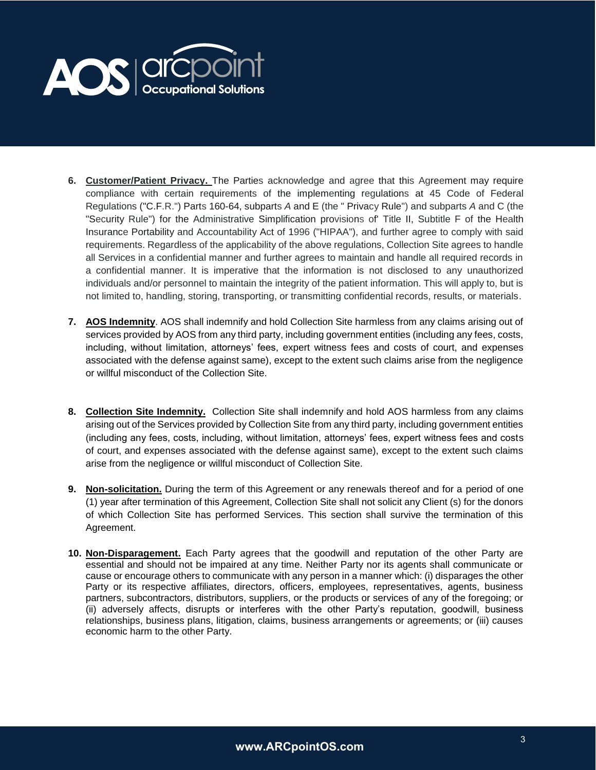

- **6. Customer/Patient Privacy.** The Parties acknowledge and agree that this Agreement may require compliance with certain requirements of the implementing regulations at 45 Code of Federal Regulations ("C.F.R.") Parts 160-64, subparts *A* and E (the " Privacy Rule") and subparts *A* and C (the "Security Rule") for the Administrative Simplification provisions of' Title II, Subtitle F of the Health Insurance Portability and Accountability Act of 1996 ("HIPAA"), and further agree to comply with said requirements. Regardless of the applicability of the above regulations, Collection Site agrees to handle all Services in a confidential manner and further agrees to maintain and handle all required records in a confidential manner. It is imperative that the information is not disclosed to any unauthorized individuals and/or personnel to maintain the integrity of the patient information. This will apply to, but is not limited to, handling, storing, transporting, or transmitting confidential records, results, or materials.
- **7. AOS Indemnity**. AOS shall indemnify and hold Collection Site harmless from any claims arising out of services provided by AOS from any third party, including government entities (including any fees, costs, including, without limitation, attorneys' fees, expert witness fees and costs of court, and expenses associated with the defense against same), except to the extent such claims arise from the negligence or willful misconduct of the Collection Site.
- **8. Collection Site Indemnity.** Collection Site shall indemnify and hold AOS harmless from any claims arising out of the Services provided by Collection Site from any third party, including government entities (including any fees, costs, including, without limitation, attorneys' fees, expert witness fees and costs of court, and expenses associated with the defense against same), except to the extent such claims arise from the negligence or willful misconduct of Collection Site.
- **9. Non-solicitation.** During the term of this Agreement or any renewals thereof and for a period of one (1) year after termination of this Agreement, Collection Site shall not solicit any Client (s) for the donors of which Collection Site has performed Services. This section shall survive the termination of this Agreement.
- **10. Non-Disparagement.** Each Party agrees that the goodwill and reputation of the other Party are essential and should not be impaired at any time. Neither Party nor its agents shall communicate or cause or encourage others to communicate with any person in a manner which: (i) disparages the other Party or its respective affiliates, directors, officers, employees, representatives, agents, business partners, subcontractors, distributors, suppliers, or the products or services of any of the foregoing; or (ii) adversely affects, disrupts or interferes with the other Party's reputation, goodwill, business relationships, business plans, litigation, claims, business arrangements or agreements; or (iii) causes economic harm to the other Party.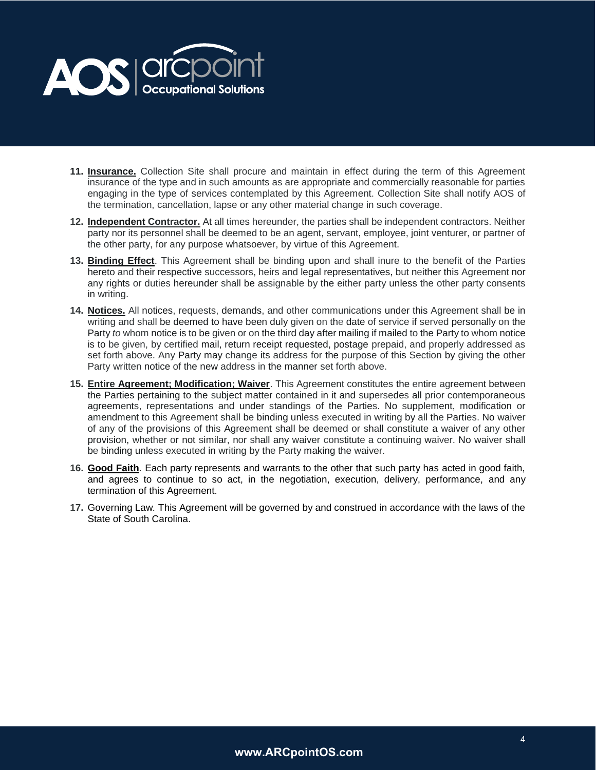

- **11. Insurance.** Collection Site shall procure and maintain in effect during the term of this Agreement insurance of the type and in such amounts as are appropriate and commercially reasonable for parties engaging in the type of services contemplated by this Agreement. Collection Site shall notify AOS of the termination, cancellation, lapse or any other material change in such coverage.
- **12. Independent Contractor.** At all times hereunder, the parties shall be independent contractors. Neither party nor its personnel shall be deemed to be an agent, servant, employee, joint venturer, or partner of the other party, for any purpose whatsoever, by virtue of this Agreement.
- **13. Binding Effect**. This Agreement shall be binding upon and shall inure to the benefit of the Parties hereto and their respective successors, heirs and legal representatives, but neither this Agreement nor any rights or duties hereunder shall be assignable by the either party unless the other party consents in writing.
- **14. Notices.** All notices, requests, demands, and other communications under this Agreement shall be in writing and shall be deemed to have been duly given on the date of service if served personally on the Party *to* whom notice is to be given or on the third day after mailing if mailed to the Party to whom notice is to be given, by certified mail, return receipt requested, postage prepaid, and properly addressed as set forth above. Any Party may change its address for the purpose of this Section by giving the other Party written notice of the new address in the manner set forth above.
- **15. Entire Agreement; Modification; Waiver**. This Agreement constitutes the entire agreement between the Parties pertaining to the subject matter contained in it and supersedes all prior contemporaneous agreements, representations and under standings of the Parties. No supplement, modification or amendment to this Agreement shall be binding unless executed in writing by all the Parties. No waiver of any of the provisions of this Agreement shall be deemed or shall constitute a waiver of any other provision, whether or not similar, nor shall any waiver constitute a continuing waiver. No waiver shall be binding unless executed in writing by the Party making the waiver.
- **16. Good Faith***.* Each party represents and warrants to the other that such party has acted in good faith, and agrees to continue to so act, in the negotiation, execution, delivery, performance, and any termination of this Agreement.
- **17.** Governing Law*.* This Agreement will be governed by and construed in accordance with the laws of the State of South Carolina.